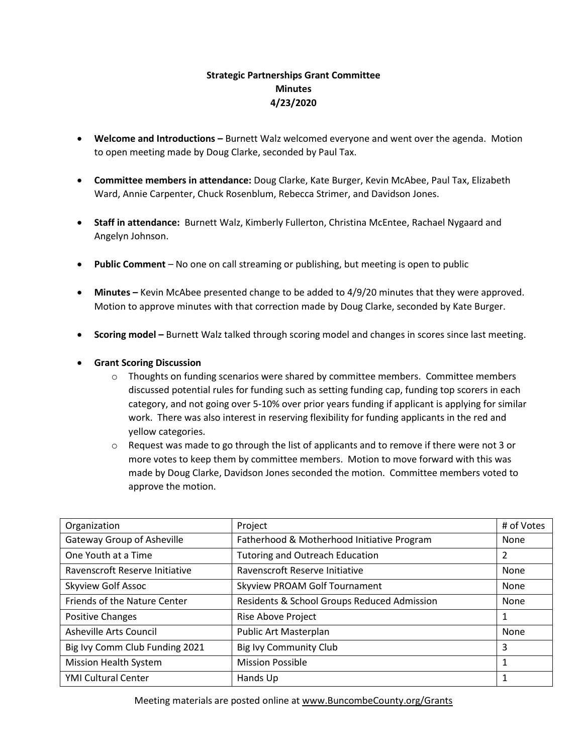## **Strategic Partnerships Grant Committee Minutes 4/23/2020**

- **Welcome and Introductions -** Burnett Walz welcomed everyone and went over the agenda. Motion to open meeting made by Doug Clarke, seconded by Paul Tax.
- **Committee members in attendance:** Doug Clarke, Kate Burger, Kevin McAbee, Paul Tax, Elizabeth Ward, Annie Carpenter, Chuck Rosenblum, Rebecca Strimer, and Davidson Jones.
- **Staff in attendance:** Burnett Walz, Kimberly Fullerton, Christina McEntee, Rachael Nygaard and Angelyn Johnson.
- **Public Comment** No one on call streaming or publishing, but meeting is open to public
- **Minutes –** Kevin McAbee presented change to be added to 4/9/20 minutes that they were approved. Motion to approve minutes with that correction made by Doug Clarke, seconded by Kate Burger.
- **Scoring model –** Burnett Walz talked through scoring model and changes in scores since last meeting.
- **Grant Scoring Discussion** 
	- $\circ$  Thoughts on funding scenarios were shared by committee members. Committee members discussed potential rules for funding such as setting funding cap, funding top scorers in each category, and not going over 5-10% over prior years funding if applicant is applying for similar work. There was also interest in reserving flexibility for funding applicants in the red and yellow categories.
	- $\circ$  Request was made to go through the list of applicants and to remove if there were not 3 or more votes to keep them by committee members. Motion to move forward with this was made by Doug Clarke, Davidson Jones seconded the motion. Committee members voted to approve the motion.

| Organization                   | Project                                     | # of Votes |
|--------------------------------|---------------------------------------------|------------|
| Gateway Group of Asheville     | Fatherhood & Motherhood Initiative Program  | None       |
| One Youth at a Time            | <b>Tutoring and Outreach Education</b>      | 2          |
| Ravenscroft Reserve Initiative | Ravenscroft Reserve Initiative              | None       |
| Skyview Golf Assoc             | <b>Skyview PROAM Golf Tournament</b>        | None       |
| Friends of the Nature Center   | Residents & School Groups Reduced Admission | None       |
| Positive Changes               | Rise Above Project                          | 1          |
| Asheville Arts Council         | Public Art Masterplan                       | None       |
| Big Ivy Comm Club Funding 2021 | <b>Big Ivy Community Club</b>               | 3          |
| <b>Mission Health System</b>   | <b>Mission Possible</b>                     | 1          |
| <b>YMI Cultural Center</b>     | Hands Up                                    | 1          |

Meeting materials are posted online a[t www.BuncombeCounty.org/Grants](http://www.buncombecounty.org/Grants)